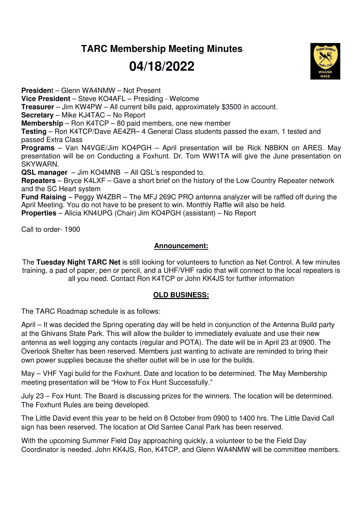**TARC Membership Meeting Minutes** 

## **04/18/2022**

**Presiden**t – Glenn WA4NMW – Not Present **Vice President** – Steve KO4AFL – Presiding - Welcome **Treasurer** – Jim KW4PW – All current bills paid, approximately \$3500 in account. **Secretary** – Mike KJ4TAC – No Report **Membership** – Ron K4TCP – 80 paid members, one new member **Testing** – Ron K4TCP/Dave AE4ZR– 4 General Class students passed the exam, 1 tested and passed Extra Class **Programs** – Van N4VGE/Jim KO4PGH – April presentation will be Rick N8BKN on ARES. May presentation will be on Conducting a Foxhunt. Dr. Tom WW1TA will give the June presentation on SKYWARN. **QSL manager** – Jim KO4MNB – All QSL's responded to. **Repeaters** – Bryce K4LXF – Gave a short brief on the history of the Low Country Repeater network and the SC Heart system **Fund Raising** – Peggy W4ZBR – The MFJ 269C PRO antenna analyzer will be raffled off during the April Meeting. You do not have to be present to win. Monthly Raffle will also be held. **Properties** – Alicia KN4UPG (Chair) Jim KO4PGH (assistant) – No Report

Call to order- 1900

## **Announcement:**

The **Tuesday Night TARC Net** is still looking for volunteers to function as Net Control. A few minutes training, a pad of paper, pen or pencil, and a UHF/VHF radio that will connect to the local repeaters is all you need. Contact Ron K4TCP or John KK4JS for further information

## **OLD BUSINESS:**

The TARC Roadmap schedule is as follows:

April – It was decided the Spring operating day will be held in conjunction of the Antenna Build party at the Ghivans State Park. This will allow the builder to immediately evaluate and use their new antenna as well logging any contacts (regular and POTA). The date will be in April 23 at 0900. The Overlook Shelter has been reserved. Members just wanting to activate are reminded to bring their own power supplies because the shelter outlet will be in use for the builds.

May – VHF Yagi build for the Foxhunt. Date and location to be determined. The May Membership meeting presentation will be "How to Fox Hunt Successfully."

July 23 – Fox Hunt. The Board is discussing prizes for the winners. The location will be determined. The Foxhunt Rules are being developed.

The Little David event this year to be held on 8 October from 0900 to 1400 hrs. The Little David Call sign has been reserved. The location at Old Santee Canal Park has been reserved.

With the upcoming Summer Field Day approaching quickly, a volunteer to be the Field Day Coordinator is needed. John KK4JS, Ron, K4TCP, and Glenn WA4NMW will be committee members.